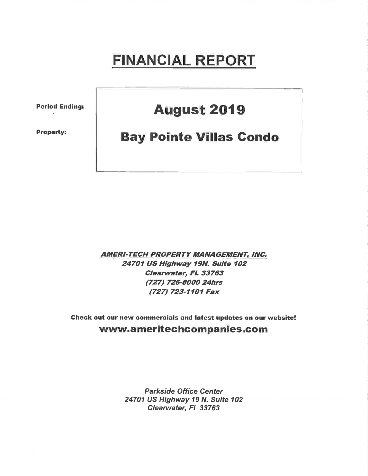# FINANCIAL REPORT

Period Ending:

Property:

## **August 2019**

## Bay Pointe V¡llas Gondo

**AMERI-TECH PROPERTY MANAGEMENT, INC.** 24701 US Highway 19N. Suite 102 Clearwater, FL 33763 (727) 726-8000 24hrs (727) 723-1101 Fax

Gheck out our new commercials and latest updates on our website! www.ameritechcompanies.com

> Parkside Office Center 24701 US Highway 19 N. Suite 102 Clearwater, Fl 33763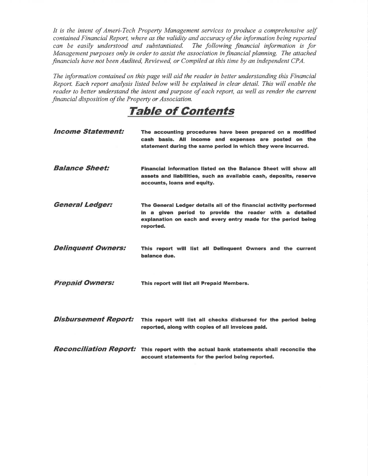It is the intent of Ameri-Tech Property Management services to produce a comprehensive self contained Financial Report, where as the validity and accuracy of the information being reported can be easily understood and substantiated. The following financial information is for Management purposes only in order to assist the association in financial planning. The attached financials have not been Audited, Reviewed, or Compiled at this time by an independent CPA.

The information contained on this page will aid the reader in better understanding this Financial Report. Each report analysis listed below will be explained in clear detail. This will enable the reader to better understand the intent and purpose of each report, as well as render the current financial disposition of the Property or Association.

TaþIe of Contents

| <b>Income Statement:</b>    | The accounting procedures have been prepared on a modified<br>cash basis. All income and expenses are posted on the<br>statement during the same period in which they were incurred.                        |
|-----------------------------|-------------------------------------------------------------------------------------------------------------------------------------------------------------------------------------------------------------|
| <b>Balance Sheet:</b>       | Financial information listed on the Balance Sheet will show all<br>assets and liabilities, such as available cash, deposits, reserve<br>accounts, loans and equity.                                         |
| <b>General Ledger:</b>      | The General Ledger details all of the financial activity performed<br>in a given period to provide the reader with a detailed<br>explanation on each and every entry made for the period being<br>reported. |
| <b>Delinquent Owners:</b>   | This report will list all Delinguent Owners and the current<br>balance due.                                                                                                                                 |
| <b>Prepaid Owners:</b>      | This report will list all Prepaid Members.                                                                                                                                                                  |
| <b>Disbursement Report:</b> | This report will list all checks disbursed for the period being<br>reported, along with copies of all invoices paid.                                                                                        |
|                             | <b>Reconciliation Report:</b> This report with the actual bank statements shall reconcile the<br>account statements for the period being reported.                                                          |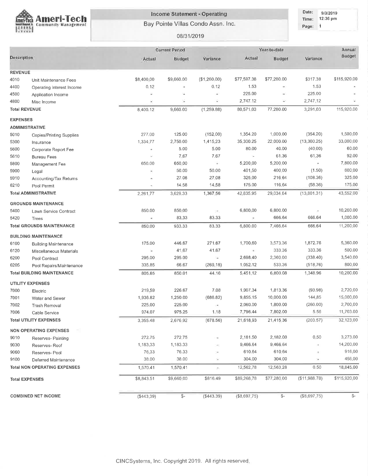

### Income Statement - Operating

Bay Pointe Villas Condo Assn. Inc.

08/31/2019

| Date: | 9/3/2019 |
|-------|----------|
| Time: | 12:36 pm |
| Pane' |          |

|                        |                                     |            | <b>Current Period</b> |              | Year-to-date   | Annual        |               |              |
|------------------------|-------------------------------------|------------|-----------------------|--------------|----------------|---------------|---------------|--------------|
| Description            |                                     | Actual     | Budget                | Variance     | Actual         | Budget        | Variance      | Budget       |
|                        |                                     |            |                       |              |                |               |               |              |
| <b>REVENUE</b><br>4010 |                                     | \$8,400.00 | \$9,660.00            | (\$1,260.00) | \$77,597.38    | \$77,280.00   | \$317.38      | \$115,920.00 |
| 4400                   | Unit Maintenance Fees               | 0.12       |                       | 0.12         | 1.53           |               | 1.53          |              |
| 4500                   | Operating Interest Income           |            |                       |              | 225.00         |               | 225.00        |              |
| 4800                   | Application Income                  | φ          | ×,                    | Ξ            | 2,747.12       | u)            | 2,747.12      |              |
|                        | Misc Income                         |            |                       |              |                | 77,280.00     | 3,291.03      | 115,920.00   |
| <b>Total REVENUE</b>   |                                     | 8,400.12   | 9,660.00              | (1, 259.88)  | 80,571.03      |               |               |              |
| <b>EXPENSES</b>        |                                     |            |                       |              |                |               |               |              |
|                        | <b>ADMINISTRATIVE</b>               |            |                       |              |                |               |               |              |
| 5010                   | <b>Copies/Printing Supplies</b>     | 277.00     | 125.00                | (152.00)     | 1,354.20       | 1,000.00      | (354.20)      | 1,500.00     |
| 5300                   | Insurance                           | 1,334.77   | 2,750.00              | 1,415.23     | 35,300.25      | 22,000.00     | (13,300.25)   | 33,000:00    |
| 5600                   | Corporate Report Fee                |            | 5.00                  | 5.00         | 80.00          | 40.00         | (40.00)       | 60.00        |
| 5610                   | <b>Bureau Fees</b>                  | ×          | 7,67                  | 7.67         | ×              | 61.36         | 61.36         | 92.00        |
| 5800                   | Management Fee                      | 650.00     | 650.00                | ŵ.           | 5,200,00       | 5,200.00      | ÷             | 7,800.00     |
| 5900                   | Legal                               |            | 50.00                 | 50.00        | 401.50         | 400.00        | (1.50)        | 600.00       |
| 5910                   | Accounting/Tax Returns              |            | 27.08                 | 27,08        | 325,00         | 216.64        | (108.36)      | 325.00       |
| 6210                   | Pool Permit                         |            | 14.58                 | 14.58        | 175.00         | 116.64        | (58.36)       | 175.00       |
|                        | <b>Total ADMINISTRATIVE</b>         | 2,261.77   | 3,629.33              | 1,367,56     | 42,835.95      | 29,034.64     | (13,801.31)   | 43,552.00    |
|                        | <b>GROUNDS MAINTENANCE</b>          |            |                       |              |                |               |               |              |
| 5400                   | Lawn Service Contract               | 850.00     | 850:00                | 595          | 6,800.00       | 6,800.00      | ÷             | 10,200.00    |
| 5420                   | Trees                               |            | 83.33                 | 83.33        | ×              | 666.64        | 666.64        | 1,000.00     |
|                        | <b>Total GROUNDS MAINTENANCE</b>    | 850.00     | 933.33                | 83.33        | 6,800.00       | 7,466.64      | 666.64        | 11,200.00    |
|                        | <b>BUILDING MAINTENANCE</b>         |            |                       |              |                |               |               |              |
| 6100                   | <b>Building Maintenance</b>         | 175.00     | 446.67                | 271.67       | 1,700,60       | 3,573,36      | 1,872.76      | 5,360.00     |
| 6120                   | Miscellaneous Materials             | ×          | 41.67                 | 41.67        | $\blacksquare$ | 333.36        | 333.36        | 500.00       |
| 6200                   | Pool Contract                       | 295.00     | 295.00                | ÷            | 2,698.40       | 2,360,00      | (338.40)      | 3,540.00     |
| 6205                   | Pool Repairs/Maintenance            | 335.85     | 66.67                 | (269, 18)    | 1,052.12       | 533.36        | (518, 76)     | 800.00       |
|                        | <b>Total BUILDING MAINTENANCE</b>   | 805.85     | 850.01                | 44.16        | 5,451.12       | 6,800.08      | 1,348.96      | 10,200.00    |
|                        | <b>UTILITY EXPENSES</b>             |            |                       |              |                |               |               |              |
| 7000                   | Electric                            | 219.59     | 226.67                | 7.08         | 1,907.34       | 1,813.36      | (93.98)       | 2,720.00     |
| 7001                   | Water and Sewer                     | 1,936.82   | 1,250.00              | (686.82)     | 9,855.15       | 10,000.00     | 144,85        | 15,000,00    |
| 7002                   | Trash Removal                       | 225.00     | 225.00                | ÷.           | 2,060.00       | 1,800.00      | (260.00)      | 2,700.00     |
| 7006                   | Cable Service                       | 974.07     | 975.25                | 1.18         | 7,796.44       | 7,802.00      | 5.56          | 11,703.00    |
|                        | <b>Total UTILITY EXPENSES</b>       | 3,355.48   | 2,676.92              | (678.56)     | 21,618.93      | 21,415,36     | (203.57)      | 32,123,00    |
|                        |                                     |            |                       |              |                |               |               |              |
|                        | <b>NON OPERATING EXPENSES</b>       |            |                       |              |                |               |               |              |
| 9010                   | Reserves- Painting                  | 272.75     | 272,75                |              | 2,181.50       | 2,182.00      | 0,50          | 3,273.00     |
| 9030                   | Reserves-Roof                       | 1,183.33   | 1,183.33              |              | 9,466.64       | 9,466,64      | ×             | 14,200.00    |
| 9060                   | Reserves- Pool                      | 76.33      | 76.33                 |              | 610.64         | 610.64        | ×             | 916.00       |
| 9100                   | Deferred Maintenance                | 38.00      | 38.00                 | $\sim$       | 304.00         | 304.00        | ÷             | 456.00       |
|                        | <b>Total NON OPERATING EXPENSES</b> | 1,570.41   | 1,570.41              | P)           | 12,562.78      | 12,563.28     | 0.50          | 18,845.00    |
|                        | <b>Total EXPENSES</b>               | \$8,843.51 | \$9,660.00            | \$816.49     | \$89,268,78    | \$77,280,00   | (\$11,988.78) | \$115,920.00 |
|                        | <b>COMBINED NET INCOME</b>          | (\$443.39) | $S-$                  | ( \$443.39)  | (\$8,697,75)   | $\frac{2}{3}$ | (\$8,697.75)  | $S-$         |
|                        |                                     |            |                       |              |                |               |               |              |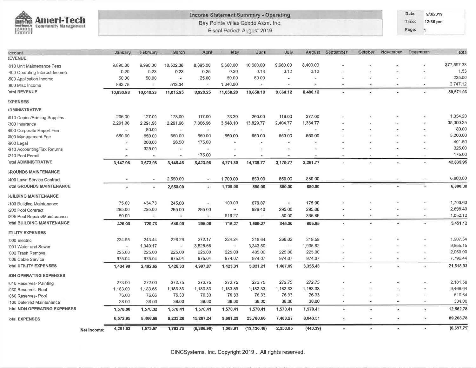| â<br><b>Ameri-Tech</b><br>lmen-Tech<br>of Januard House<br>Community Management |             |                     |                          |                                                                             |                |                       | Income Statement Summary - Operating<br>Bay Pointe Villas Condo Assn. Inc. |                 |               |                               |                |                          | Date:<br>Time:  | 9/3/2019<br>12:36 pm          |                       |
|---------------------------------------------------------------------------------|-------------|---------------------|--------------------------|-----------------------------------------------------------------------------|----------------|-----------------------|----------------------------------------------------------------------------|-----------------|---------------|-------------------------------|----------------|--------------------------|-----------------|-------------------------------|-----------------------|
| Burel                                                                           |             |                     |                          |                                                                             |                |                       | Fiscal Period: August 2019                                                 |                 |               |                               |                |                          | Page:           | и                             |                       |
| ccount                                                                          |             | January             | February                 | March                                                                       | April          | May                   | June                                                                       | July            |               | August September              | October        | November.                | <b>December</b> |                               | Tota                  |
| <b>EVENUE</b>                                                                   |             |                     |                          |                                                                             |                |                       |                                                                            |                 |               |                               |                |                          |                 |                               |                       |
| 010 Unit Maintenance Fees                                                       |             | 9,890.00            | 9,990.00                 | 10,502.38                                                                   | 8,895.00       | 9,660.00              | 10,600.00                                                                  | 9,660.00        | 8,400.00      |                               |                |                          |                 |                               | \$77,597.38           |
| 400 Operating Interest Income                                                   |             | 0.20                | 0.23                     | 0.23                                                                        | 0.25           | 0.20                  | 0.18                                                                       | 0.12            | 0.12          |                               |                | $\omega$                 |                 | ×                             | 1.53                  |
| 500 Application Income                                                          |             | 50.00               | 50.00                    |                                                                             | 25.00          | 50.00                 | 50.00                                                                      | -               |               |                               |                |                          |                 | ×                             | 225.00                |
| 800 Misc Income<br>otal REVENUE                                                 |             | 893.78<br>10,833.98 | ¥<br>10,040.23           | 513.34<br>11,015.95                                                         | ÷.<br>8,920.25 | 1,340.00<br>11,050.20 | 10,650.18                                                                  | CH.<br>9,660.12 | ÷<br>8,400.12 | $\overline{\phantom{a}}$<br>٠ | ÷<br>$\ddot{}$ |                          |                 | ٠                             | 2,747.12<br>80,571.03 |
| <b>:XPENSES</b>                                                                 |             |                     |                          |                                                                             |                |                       |                                                                            |                 |               |                               |                |                          |                 |                               |                       |
| <b>\DMINISTRATIVE</b>                                                           |             |                     |                          |                                                                             |                |                       |                                                                            |                 |               |                               |                |                          |                 |                               |                       |
| 1010 Copies/Printing Supplies                                                   |             | 206.00              | 127.00                   | 178.00                                                                      | 117.00         | 73.20                 | 260.00                                                                     | 116.00          | 277.00        |                               |                |                          |                 |                               | 1,354.20              |
| 300 Insurance                                                                   |             | 2,291.96            | 2,291.96                 | 2,291.96                                                                    | 7,306.96       | 3,548.10              | 13,829.77                                                                  | 2,404.77        | 1,334.77      |                               |                |                          |                 |                               | 35,300.25             |
| 600 Corporate Report Fee                                                        |             | ×                   | 80.00                    | $\left\langle \frac{\partial \mathbf{r}}{\partial \mathbf{r}}\right\rangle$ | $\mathcal{F}$  | $\lesssim$            | $\bullet$                                                                  | ÷.              | $\mathcal{P}$ |                               |                | ٠                        |                 | $\mathcal{A}_0$               | 80.00                 |
| 800 Management Fee                                                              |             | 650.00              | 650.00                   | 650.00                                                                      | 650.00         | 650.00                | 650.00                                                                     | 650.00          | 650.00        |                               |                |                          |                 |                               | 5,200.00              |
| i900 Legal                                                                      |             | ×                   | 200.00                   | 26.50                                                                       | 175.00         | $\tilde{\phantom{a}}$ |                                                                            |                 | ٠             |                               |                |                          |                 |                               | 401.50                |
| i910 Accounting/Tax Returns                                                     |             | œ,                  | 325.00                   | $\frac{1}{2}$                                                               | $\sim$         |                       |                                                                            |                 | ۰             |                               |                |                          |                 | $\sim$                        | 325.00                |
| 210 Pool Permit                                                                 |             |                     | $\hat{\phantom{a}}$      | œ.                                                                          | 175.00         |                       |                                                                            |                 |               |                               |                |                          |                 | -                             | 175.00                |
| otal ADMINISTRATIVE                                                             |             | 3,147.96            | 3,673.96                 | 3,146.46                                                                    | 8,423.96       | 4,271.30              | 14,739.77                                                                  | 3,170.77        | 2,261.77      | ٠                             |                | ÷                        |                 | $\sim$                        | 42,835.95             |
| <b>ROUNDS MAINTENANCE</b>                                                       |             |                     |                          |                                                                             |                |                       |                                                                            |                 |               |                               |                |                          |                 |                               |                       |
| 400 Lawn Service Contract                                                       |             |                     | $\overline{\phantom{a}}$ | 2,550.00                                                                    | $\rightarrow$  | 1,700.00              | 850.00                                                                     | 850.00          | 850.00        |                               |                |                          |                 | $\rightarrow$                 | 6,800.00              |
| otal GROUNDS MAINTENANCE                                                        |             | ×                   | ٠                        | 2,550.00                                                                    | $\bullet$ :    | 1,700.00              | 850.00                                                                     | 850.00          | 850.00        | ×                             |                |                          |                 | Φ                             | 6,800.00              |
| <b><i>SUILDING MAINTENANCE</i></b>                                              |             |                     |                          |                                                                             |                |                       |                                                                            |                 |               |                               |                |                          |                 |                               |                       |
| i100 Building Maintenance                                                       |             | 75.00               | 434.73                   | 245.00                                                                      | ÷.             | 100.00                | 670.87                                                                     | ۰               | 175.00        |                               |                |                          |                 |                               | 1,700.60              |
| 200 Pool Contract                                                               |             | 295.00              | 295.00                   | 295.00                                                                      | 295.00         | ÷                     | 928.40                                                                     | 295.00          | 295.00        | ×                             |                |                          |                 |                               | 2,698.40              |
| 205 Pool Repairs/Maintenance                                                    |             | 50.00               | $\equiv$                 | $\sim$                                                                      | GW)            | 616.27                | $\tilde{\mathbf{u}}_i$                                                     | 50.00           | 335.85        | $\sim$                        | E              | $\sim$                   |                 | $\left( -\frac{1}{2} \right)$ | 1,052.12              |
| otal BUILDING MAINTENANCE                                                       |             | 420.00              | 729.73                   | 540.00                                                                      | 295.00         | 716.27                | 1,599.27                                                                   | 345.00          | 805.85        | ٠                             |                |                          |                 | $\overline{1}$                | 5,451.12              |
| <b>JTILITY EXPENSES</b>                                                         |             |                     |                          |                                                                             |                |                       |                                                                            |                 |               |                               |                |                          |                 |                               |                       |
| '000 Electric                                                                   |             | 234.95              | 243.44                   | 226.29                                                                      | 272.17         | 224.24                | 218.64                                                                     | 268.02          | 219.59        |                               |                |                          |                 |                               | 1,907.34              |
| '001 Water and Sewer                                                            |             | $\sim$              | 1,049.17                 | ÷.                                                                          | 3,525.66       | ×                     | 3,343.50                                                                   | $\sim$          | 1,936.82      |                               |                |                          |                 |                               | 9,855.15              |
| '002 Trash Removal                                                              |             | 225.00              | 225.00                   | 225.00                                                                      | 225.00         | 225.00                | 485.00                                                                     | 225.00          | 225.00        | ×                             |                |                          |                 | $\overline{\phantom{a}}$      | 2,060.00              |
| '006 Cable Service                                                              |             | 975.04              | 975.04                   | 975.04                                                                      | 975.04         | 974.07                | 974.07                                                                     | 974.07          | 974.07        | $\tau$                        |                | ٠                        |                 | Ξ                             | 7,796.44              |
| otal UTILITY EXPENSES                                                           |             | 1,434.99            | 2,492.65                 | 1,426.33                                                                    | 4,997.87       | 1,423.31              | 5,021.21                                                                   | 1,467.09        | 3,355.48      | ٠                             | $\approx$      | ¥                        |                 | æ                             | 21,618.93             |
| <b>JON OPERATING EXPENSES</b>                                                   |             |                     |                          |                                                                             |                |                       |                                                                            |                 |               |                               |                |                          |                 |                               |                       |
| 010 Reserves- Painting                                                          |             | 273.00              | 272.00                   | 272.75                                                                      | 272.75         | 272.75                | 272.75                                                                     | 272.75          | 272.75        |                               |                |                          |                 |                               | 2,181.50              |
| 1030 Reserves- Roof                                                             |             | 1,183.00            | 1,183.66                 | 1,183.33                                                                    | 1,183.33       | 1,183.33              | 1,183.33                                                                   | 1,183.33        | 1,183.33      |                               |                |                          |                 | $\sim$                        | 9,466.64              |
| 1060 Reserves- Pool                                                             |             | 76.00               | 76.66                    | 76.33                                                                       | 76.33          | 76.33                 | 76.33                                                                      | 76.33           | 76.33         | $\overline{\phantom{a}}$      |                | z.                       |                 | Ξ                             | 610.64                |
| 100 Deferred Maintenance                                                        |             | 38.00               | 38.00                    | 38.00                                                                       | 38.00          | 38.00                 | 38.00                                                                      | 38.00           | 38.00         | ×                             |                |                          |                 | ×                             | 304.00                |
| otal NON OPERATING EXPENSES                                                     |             | 1,570.00            | 1,570.32                 | 1,570.41                                                                    | 1,570.41       | 1,570.41              | 1,570.41                                                                   | 1,570.41        | 1,570.41      | ÷.                            | ×.             | $\bullet$                |                 | ×                             | 12,562.78             |
| otal EXPENSES                                                                   |             | 6,572.95            | 8,466.66                 | 9,233.20                                                                    | 15,287.24      | 9,681.29              | 23,780.66                                                                  | 7,403.27        | 8,843.51      | э.                            | Ξ              |                          |                 | ٠                             | 89,268.78             |
|                                                                                 | Net Income: | 4,261.03            | 1,573.57                 | 1,782.75                                                                    | (6,366.99)     | 1,368.91              | (13, 130.48)                                                               | 2,256.85        | (443.39)      | Эù                            | ۰              | $\overline{\mathcal{C}}$ |                 | œ.                            | (8,697.75)            |